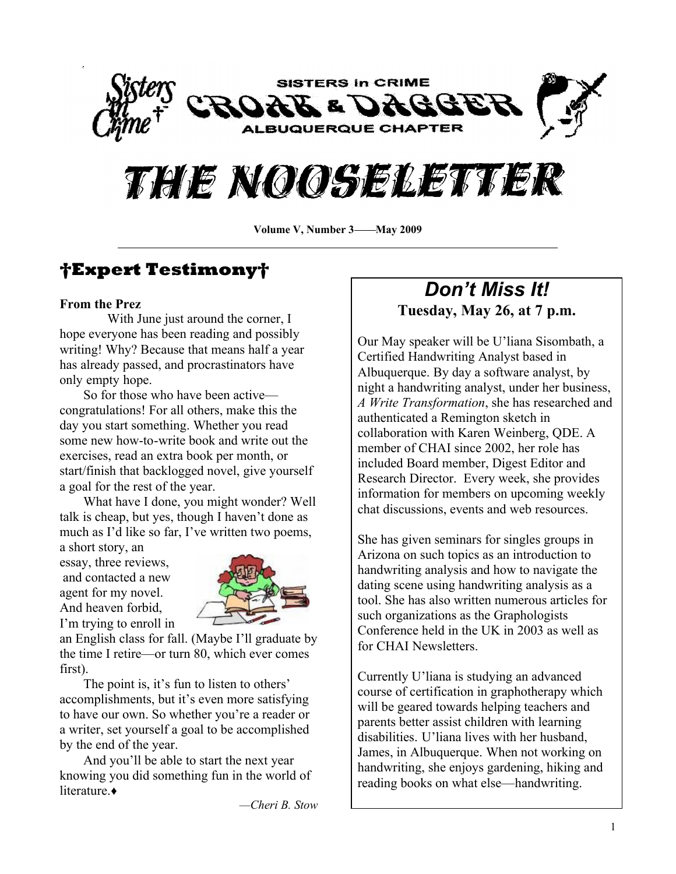



**Volume V, Number 3——May 2009** 

# **Expert Testimony**

#### **From the Prez**

With June just around the corner, I hope everyone has been reading and possibly writing! Why? Because that means half a year has already passed, and procrastinators have only empty hope.

So for those who have been active congratulations! For all others, make this the day you start something. Whether you read some new how-to-write book and write out the exercises, read an extra book per month, or start/finish that backlogged novel, give yourself a goal for the rest of the year.

What have I done, you might wonder? Well talk is cheap, but yes, though I haven't done as much as I'd like so far, I've written two poems,

a short story, an essay, three reviews, and contacted a new agent for my novel. And heaven forbid, I'm trying to enroll in



an English class for fall. (Maybe I'll graduate by the time I retire—or turn 80, which ever comes first).

The point is, it's fun to listen to others' accomplishments, but it's even more satisfying to have our own. So whether you're a reader or a writer, set yourself a goal to be accomplished by the end of the year.

And you'll be able to start the next year knowing you did something fun in the world of literature.

*²Cheri B. Stow*

# *Don¶t Miss It!* **Tuesday, May 26, at 7 p.m.**

Our May speaker will be U'liana Sisombath, a Certified Handwriting Analyst based in Albuquerque. By day a software analyst, by night a handwriting analyst, under her business, *A Write Transformation*, she has researched and authenticated a Remington sketch in collaboration with Karen Weinberg, QDE. A member of CHAI since 2002, her role has included Board member, Digest Editor and Research Director. Every week, she provides information for members on upcoming weekly chat discussions, events and web resources.

She has given seminars for singles groups in Arizona on such topics as an introduction to handwriting analysis and how to navigate the dating scene using handwriting analysis as a tool. She has also written numerous articles for such organizations as the Graphologists Conference held in the UK in 2003 as well as for CHAI Newsletters.

Currently U'liana is studying an advanced course of certification in graphotherapy which will be geared towards helping teachers and parents better assist children with learning disabilities. U'liana lives with her husband, James, in Albuquerque. When not working on handwriting, she enjoys gardening, hiking and reading books on what else—handwriting.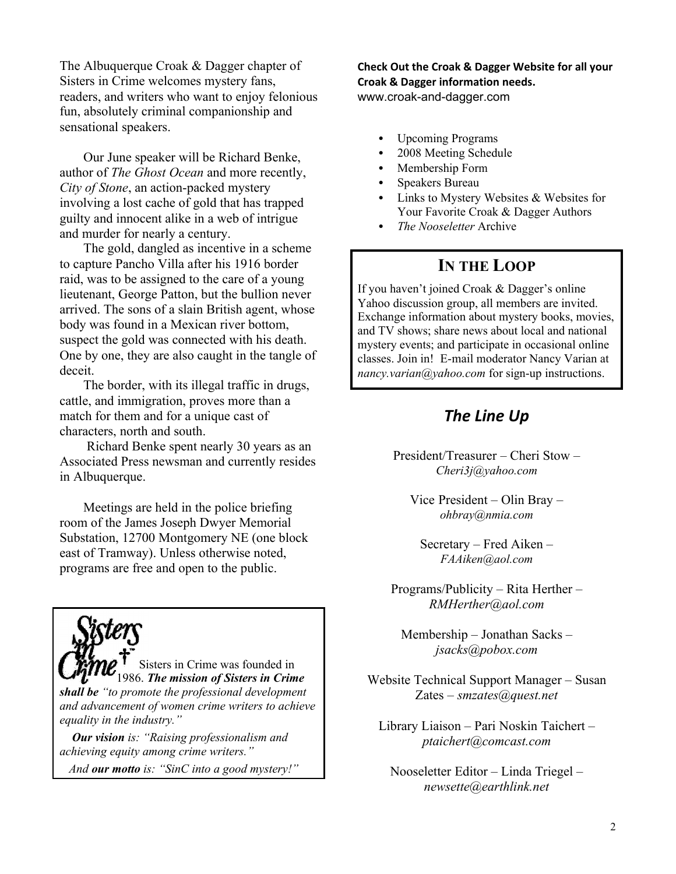The Albuquerque Croak & Dagger chapter of Sisters in Crime welcomes mystery fans, readers, and writers who want to enjoy felonious fun, absolutely criminal companionship and sensational speakers.

Our June speaker will be Richard Benke, author of *The Ghost Ocean* and more recently, *City of Stone*, an action-packed mystery involving a lost cache of gold that has trapped guilty and innocent alike in a web of intrigue and murder for nearly a century.

The gold, dangled as incentive in a scheme to capture Pancho Villa after his 1916 border raid, was to be assigned to the care of a young lieutenant, George Patton, but the bullion never arrived. The sons of a slain British agent, whose body was found in a Mexican river bottom, suspect the gold was connected with his death. One by one, they are also caught in the tangle of deceit.

The border, with its illegal traffic in drugs, cattle, and immigration, proves more than a match for them and for a unique cast of characters, north and south.

 Richard Benke spent nearly 30 years as an Associated Press newsman and currently resides in Albuquerque.

Meetings are held in the police briefing room of the James Joseph Dwyer Memorial Substation, 12700 Montgomery NE (one block east of Tramway). Unless otherwise noted, programs are free and open to the public.

Sisters in Crime was founded in 1986. *The mission of Sisters in Crime shall be ³to promote the professional development and advancement of women crime writers to achieve equality in the industry.´*

 *Our vision is: ³Raising professionalism and achieving equity among crime writers.´*

 *And our motto is: ³SinC into a good mystery!´*

**Check Out the Croak & Dagger Website for all your Croak & Dagger information needs.** www.croak-and-dagger.com

- Upcoming Programs
- 2008 Meeting Schedule
- Membership Form
- Speakers Bureau
- Links to Mystery Websites & Websites for Your Favorite Croak & Dagger Authors
- *The Nooseletter* Archive

# **IN THE LOOP**

If you haven't joined Croak  $&$  Dagger's online Yahoo discussion group, all members are invited. Exchange information about mystery books, movies, and TV shows; share news about local and national mystery events; and participate in occasional online classes. Join in! E-mail moderator Nancy Varian at *nancy.varian@yahoo.com* for sign-up instructions.

# *The Line Up*

President/Treasurer  $-$  Cheri Stow  $-$ *Cheri3j@yahoo.com*

Vice President  $-\text{O}$ lin Bray  $-\text{O}$ *ohbray@nmia.com*

 $S$ ecretary – Fred Aiken – *FAAiken@aol.com*

 $Programs/Publicity - Rita Herther -$ *RMHerther@aol.com*

 $M$ embership  $-$  Jonathan Sacks  $$ *jsacks@pobox.com*

Website Technical Support Manager – Susan Zates ± *smzates@quest.net*

Library Liaison – Pari Noskin Taichert – *ptaichert@comcast.com*

 $Nooseletter Editor - Linda Triegel$ *newsette@earthlink.net*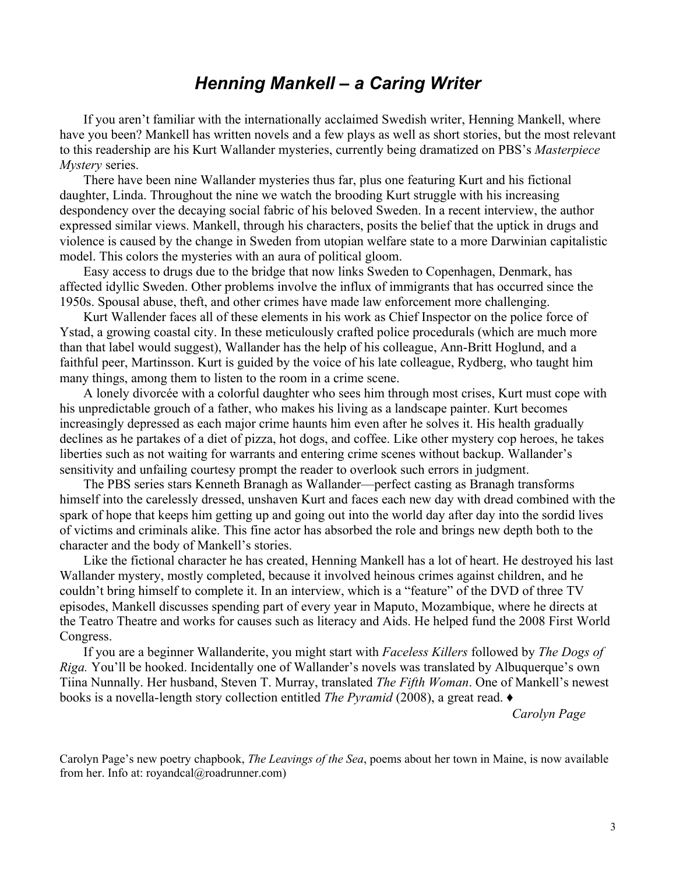# *Henning Mankell ± a Caring Writer*

If you aren't familiar with the internationally acclaimed Swedish writer, Henning Mankell, where have you been? Mankell has written novels and a few plays as well as short stories, but the most relevant to this readership are his Kurt Wallander mysteries, currently being dramatized on PBS's Masterpiece *Mystery* series.

There have been nine Wallander mysteries thus far, plus one featuring Kurt and his fictional daughter, Linda. Throughout the nine we watch the brooding Kurt struggle with his increasing despondency over the decaying social fabric of his beloved Sweden. In a recent interview, the author expressed similar views. Mankell, through his characters, posits the belief that the uptick in drugs and violence is caused by the change in Sweden from utopian welfare state to a more Darwinian capitalistic model. This colors the mysteries with an aura of political gloom.

Easy access to drugs due to the bridge that now links Sweden to Copenhagen, Denmark, has affected idyllic Sweden. Other problems involve the influx of immigrants that has occurred since the 1950s. Spousal abuse, theft, and other crimes have made law enforcement more challenging.

Kurt Wallender faces all of these elements in his work as Chief Inspector on the police force of Ystad, a growing coastal city. In these meticulously crafted police procedurals (which are much more than that label would suggest), Wallander has the help of his colleague, Ann-Britt Hoglund, and a faithful peer, Martinsson. Kurt is guided by the voice of his late colleague, Rydberg, who taught him many things, among them to listen to the room in a crime scene.

A lonely divorcée with a colorful daughter who sees him through most crises, Kurt must cope with his unpredictable grouch of a father, who makes his living as a landscape painter. Kurt becomes increasingly depressed as each major crime haunts him even after he solves it. His health gradually declines as he partakes of a diet of pizza, hot dogs, and coffee. Like other mystery cop heroes, he takes liberties such as not waiting for warrants and entering crime scenes without backup. Wallander's sensitivity and unfailing courtesy prompt the reader to overlook such errors in judgment.

The PBS series stars Kenneth Branagh as Wallander—perfect casting as Branagh transforms himself into the carelessly dressed, unshaven Kurt and faces each new day with dread combined with the spark of hope that keeps him getting up and going out into the world day after day into the sordid lives of victims and criminals alike. This fine actor has absorbed the role and brings new depth both to the character and the body of Mankell's stories.

Like the fictional character he has created, Henning Mankell has a lot of heart. He destroyed his last Wallander mystery, mostly completed, because it involved heinous crimes against children, and he couldn't bring himself to complete it. In an interview, which is a "feature" of the DVD of three TV episodes, Mankell discusses spending part of every year in Maputo, Mozambique, where he directs at the Teatro Theatre and works for causes such as literacy and Aids. He helped fund the 2008 First World Congress.

If you are a beginner Wallanderite, you might start with *Faceless Killers* followed by *The Dogs of Riga.* You'll be hooked. Incidentally one of Wallander's novels was translated by Albuquerque's own Tiina Nunnally. Her husband, Steven T. Murray, translated *The Fifth Woman*. One of Mankell's newest books is a novella-length story collection entitled *The Pyramid* (2008), a great read.  $\bullet$ 

 *Carolyn Page*

Carolyn Page's new poetry chapbook, *The Leavings of the Sea*, poems about her town in Maine, is now available from her. Info at: royandcal@roadrunner.com)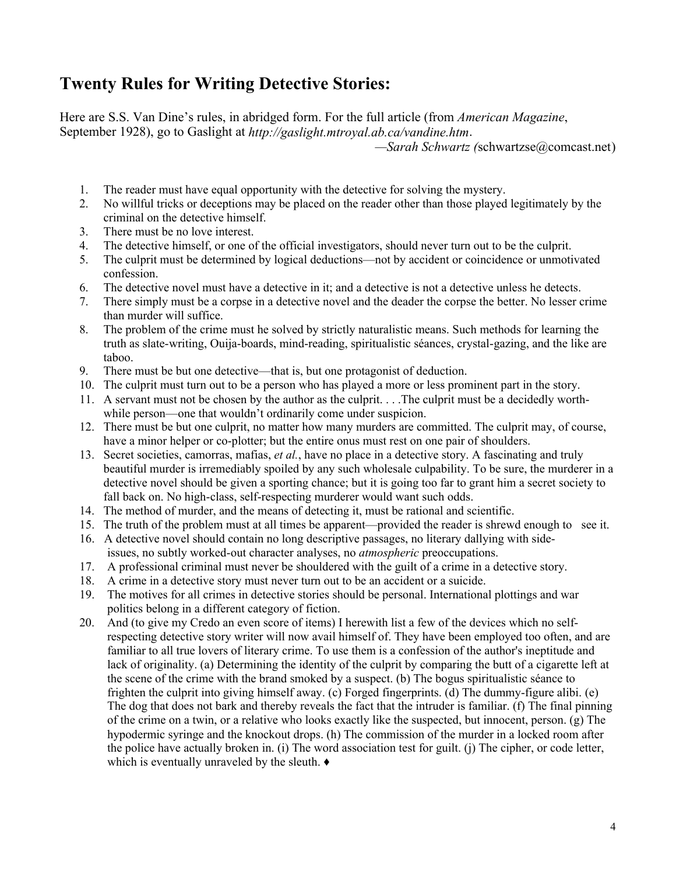# **Twenty Rules for Writing Detective Stories:**

Here are S.S. Van Dine's rules, in abridged form. For the full article (from *American Magazine*, September 1928), go to Gaslight at *<http://gaslight.mtroyal.ab.ca/vandine.htm>*.

*²Sarah Schwartz (*schwartzse@comcast.net)

- 1. The reader must have equal opportunity with the detective for solving the mystery.
- 2. No willful tricks or deceptions may be placed on the reader other than those played legitimately by the criminal on the detective himself.
- 3. There must be no love interest.
- 4. The detective himself, or one of the official investigators, should never turn out to be the culprit.
- 5. The culprit must be determined by logical deductions—not by accident or coincidence or unmotivated confession.
- 6. The detective novel must have a detective in it; and a detective is not a detective unless he detects.
- 7. There simply must be a corpse in a detective novel and the deader the corpse the better. No lesser crime than murder will suffice.
- 8. The problem of the crime must he solved by strictly naturalistic means. Such methods for learning the truth as slate-writing, Ouija-boards, mind-reading, spiritualistic séances, crystal-gazing, and the like are taboo.
- 9. There must be but one detective—that is, but one protagonist of deduction.
- 10. The culprit must turn out to be a person who has played a more or less prominent part in the story.
- 11. A servant must not be chosen by the author as the culprit. . . .The culprit must be a decidedly worthwhile person—one that wouldn't ordinarily come under suspicion.
- 12. There must be but one culprit, no matter how many murders are committed. The culprit may, of course, have a minor helper or co-plotter; but the entire onus must rest on one pair of shoulders.
- 13. Secret societies, camorras, mafias, *et al.*, have no place in a detective story. A fascinating and truly beautiful murder is irremediably spoiled by any such wholesale culpability. To be sure, the murderer in a detective novel should be given a sporting chance; but it is going too far to grant him a secret society to fall back on. No high-class, self-respecting murderer would want such odds.
- 14. The method of murder, and the means of detecting it, must be rational and scientific.
- 15. The truth of the problem must at all times be apparent—provided the reader is shrewd enough to see it.
- 16. A detective novel should contain no long descriptive passages, no literary dallying with sideissues, no subtly worked-out character analyses, no *atmospheric* preoccupations.
- 17. A professional criminal must never be shouldered with the guilt of a crime in a detective story.
- 18. A crime in a detective story must never turn out to be an accident or a suicide.
- 19. The motives for all crimes in detective stories should be personal. International plottings and war politics belong in a different category of fiction.
- 20. And (to give my Credo an even score of items) I herewith list a few of the devices which no selfrespecting detective story writer will now avail himself of. They have been employed too often, and are familiar to all true lovers of literary crime. To use them is a confession of the author's ineptitude and lack of originality. (a) Determining the identity of the culprit by comparing the butt of a cigarette left at the scene of the crime with the brand smoked by a suspect. (b) The bogus spiritualistic séance to frighten the culprit into giving himself away. (c) Forged fingerprints. (d) The dummy-figure alibi. (e) The dog that does not bark and thereby reveals the fact that the intruder is familiar. (f) The final pinning of the crime on a twin, or a relative who looks exactly like the suspected, but innocent, person. (g) The hypodermic syringe and the knockout drops. (h) The commission of the murder in a locked room after the police have actually broken in. (i) The word association test for guilt. (j) The cipher, or code letter, which is eventually unraveled by the sleuth.  $\bullet$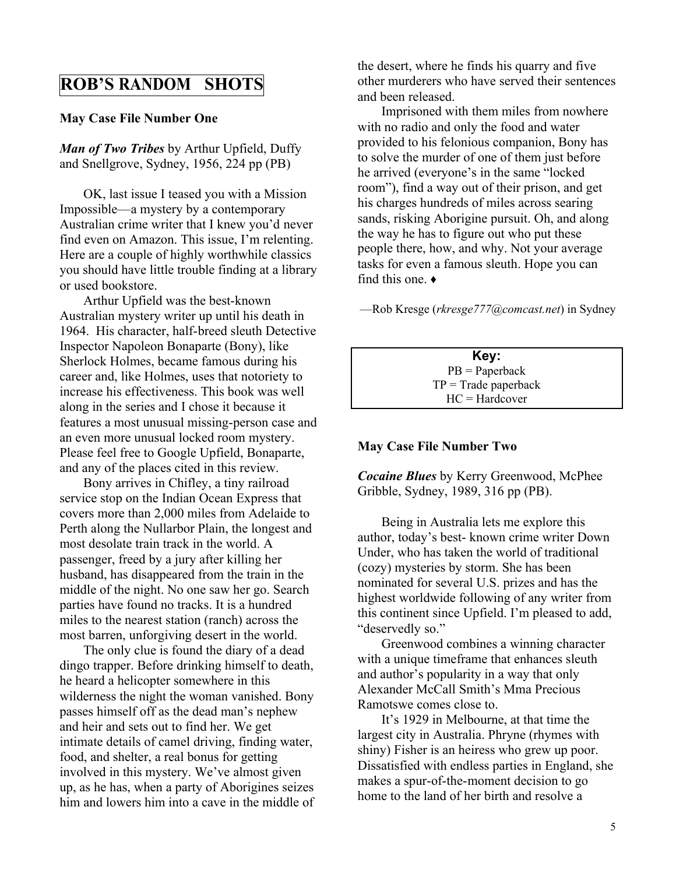## **ROB¶S RANDOM SHOTS**

#### **May Case File Number One**

*Man of Two Tribes* by Arthur Upfield, Duffy and Snellgrove, Sydney, 1956, 224 pp (PB)

OK, last issue I teased you with a Mission Impossible—a mystery by a contemporary Australian crime writer that I knew you'd never find even on Amazon. This issue, I'm relenting. Here are a couple of highly worthwhile classics you should have little trouble finding at a library or used bookstore.

Arthur Upfield was the best-known Australian mystery writer up until his death in 1964. His character, half-breed sleuth Detective Inspector Napoleon Bonaparte (Bony), like Sherlock Holmes, became famous during his career and, like Holmes, uses that notoriety to increase his effectiveness. This book was well along in the series and I chose it because it features a most unusual missing-person case and an even more unusual locked room mystery. Please feel free to Google Upfield, Bonaparte, and any of the places cited in this review.

Bony arrives in Chifley, a tiny railroad service stop on the Indian Ocean Express that covers more than 2,000 miles from Adelaide to Perth along the Nullarbor Plain, the longest and most desolate train track in the world. A passenger, freed by a jury after killing her husband, has disappeared from the train in the middle of the night. No one saw her go. Search parties have found no tracks. It is a hundred miles to the nearest station (ranch) across the most barren, unforgiving desert in the world.

The only clue is found the diary of a dead dingo trapper. Before drinking himself to death, he heard a helicopter somewhere in this wilderness the night the woman vanished. Bony passes himself off as the dead man's nephew and heir and sets out to find her. We get intimate details of camel driving, finding water, food, and shelter, a real bonus for getting involved in this mystery. We've almost given up, as he has, when a party of Aborigines seizes him and lowers him into a cave in the middle of the desert, where he finds his quarry and five other murderers who have served their sentences and been released.

Imprisoned with them miles from nowhere with no radio and only the food and water provided to his felonious companion, Bony has to solve the murder of one of them just before he arrived (everyone's in the same "locked" room´), find a way out of their prison, and get his charges hundreds of miles across searing sands, risking Aborigine pursuit. Oh, and along the way he has to figure out who put these people there, how, and why. Not your average tasks for even a famous sleuth. Hope you can find this one.  $\bullet$ 

²Rob Kresge (*rkresge777@comcast.net*) in Sydney

**Key:** PB = Paperback  $TP = Trade$  paperback HC = Hardcover

#### **May Case File Number Two**

*Cocaine Blues* by Kerry Greenwood, McPhee Gribble, Sydney, 1989, 316 pp (PB).

Being in Australia lets me explore this author, today's best- known crime writer Down Under, who has taken the world of traditional (cozy) mysteries by storm. She has been nominated for several U.S. prizes and has the highest worldwide following of any writer from this continent since Upfield. I'm pleased to add, "deservedly so."

Greenwood combines a winning character with a unique timeframe that enhances sleuth and author's popularity in a way that only Alexander McCall Smith's Mma Precious Ramotswe comes close to.

It's 1929 in Melbourne, at that time the largest city in Australia. Phryne (rhymes with shiny) Fisher is an heiress who grew up poor. Dissatisfied with endless parties in England, she makes a spur-of-the-moment decision to go home to the land of her birth and resolve a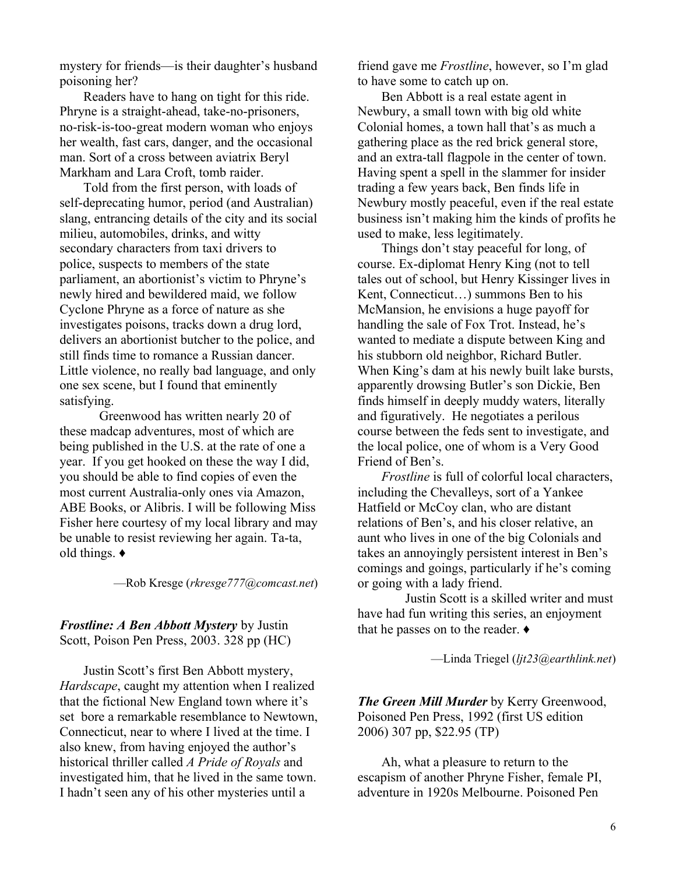mystery for friends—is their daughter's husband poisoning her?

Readers have to hang on tight for this ride. Phryne is a straight-ahead, take-no-prisoners, no-risk-is-too-great modern woman who enjoys her wealth, fast cars, danger, and the occasional man. Sort of a cross between aviatrix Beryl Markham and Lara Croft, tomb raider.

Told from the first person, with loads of self-deprecating humor, period (and Australian) slang, entrancing details of the city and its social milieu, automobiles, drinks, and witty secondary characters from taxi drivers to police, suspects to members of the state parliament, an abortionist's victim to Phryne's newly hired and bewildered maid, we follow Cyclone Phryne as a force of nature as she investigates poisons, tracks down a drug lord, delivers an abortionist butcher to the police, and still finds time to romance a Russian dancer. Little violence, no really bad language, and only one sex scene, but I found that eminently satisfying.

Greenwood has written nearly 20 of these madcap adventures, most of which are being published in the U.S. at the rate of one a year. If you get hooked on these the way I did, you should be able to find copies of even the most current Australia-only ones via Amazon, ABE Books, or Alibris. I will be following Miss Fisher here courtesy of my local library and may be unable to resist reviewing her again. Ta-ta, old things. **Ƈ**

²Rob Kresge (*rkresge777@comcast.net*)

#### *Frostline: A Ben Abbott Mystery* by Justin Scott, Poison Pen Press, 2003. 328 pp (HC)

Justin Scott's first Ben Abbott mystery, *Hardscape*, caught my attention when I realized that the fictional New England town where it's set bore a remarkable resemblance to Newtown, Connecticut, near to where I lived at the time. I also knew, from having enjoyed the author's historical thriller called *A Pride of Royals* and investigated him, that he lived in the same town. I hadn't seen any of his other mysteries until a

friend gave me *Frostline*, however, so I'm glad to have some to catch up on.

Ben Abbott is a real estate agent in Newbury, a small town with big old white Colonial homes, a town hall that's as much a gathering place as the red brick general store, and an extra-tall flagpole in the center of town. Having spent a spell in the slammer for insider trading a few years back, Ben finds life in Newbury mostly peaceful, even if the real estate business isn't making him the kinds of profits he used to make, less legitimately.

Things don't stay peaceful for long, of course. Ex-diplomat Henry King (not to tell tales out of school, but Henry Kissinger lives in Kent, Connecticut $\ldots$ ) summons Ben to his McMansion, he envisions a huge payoff for handling the sale of Fox Trot. Instead, he's wanted to mediate a dispute between King and his stubborn old neighbor, Richard Butler. When King's dam at his newly built lake bursts, apparently drowsing Butler's son Dickie, Ben finds himself in deeply muddy waters, literally and figuratively. He negotiates a perilous course between the feds sent to investigate, and the local police, one of whom is a Very Good Friend of Ben's.

*Frostline* is full of colorful local characters, including the Chevalleys, sort of a Yankee Hatfield or McCoy clan, who are distant relations of Ben's, and his closer relative, an aunt who lives in one of the big Colonials and takes an annoyingly persistent interest in Ben's comings and goings, particularly if he's coming or going with a lady friend.

Justin Scott is a skilled writer and must have had fun writing this series, an enjoyment that he passes on to the reader.  $\triangleleft$ 

²Linda Triegel (*ljt23@earthlink.net*)

*The Green Mill Murder* by Kerry Greenwood, Poisoned Pen Press, 1992 (first US edition 2006) 307 pp, \$22.95 (TP)

Ah, what a pleasure to return to the escapism of another Phryne Fisher, female PI, adventure in 1920s Melbourne. Poisoned Pen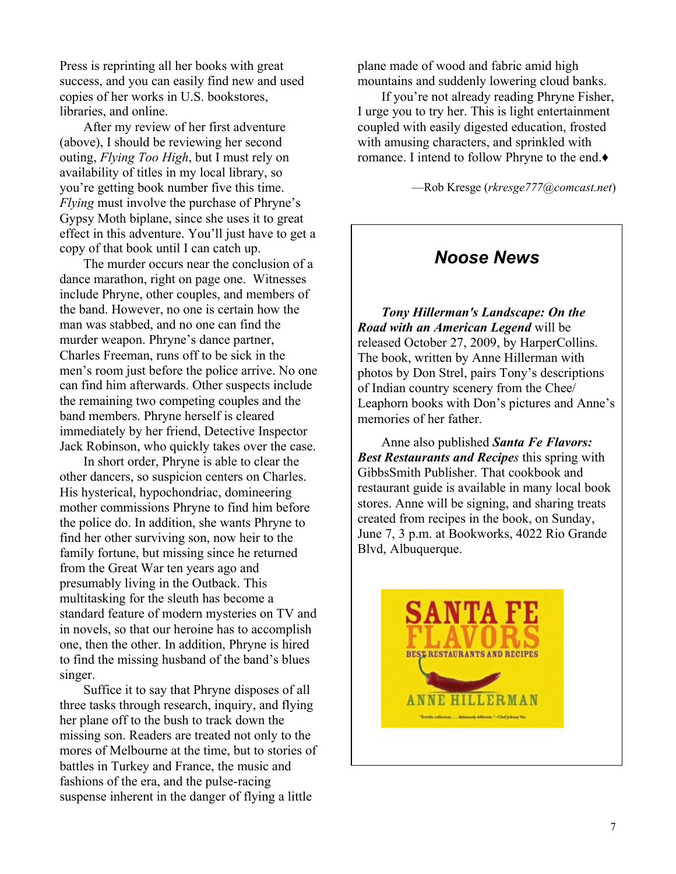Press is reprinting all her books with great success, and you can easily find new and used copies of her works in U.S. bookstores, libraries, and online.

After my review of her first adventure (above), I should be reviewing her second outing, *Flying Too High*, but I must rely on availability of titles in my local library, so you're getting book number five this time. *Flying* must involve the purchase of Phryne's Gypsy Moth biplane, since she uses it to great effect in this adventure. You'll just have to get a copy of that book until I can catch up.

The murder occurs near the conclusion of a dance marathon, right on page one. Witnesses include Phryne, other couples, and members of the band. However, no one is certain how the man was stabbed, and no one can find the murder weapon. Phryne's dance partner, Charles Freeman, runs off to be sick in the men's room just before the police arrive. No one can find him afterwards. Other suspects include the remaining two competing couples and the band members. Phryne herself is cleared immediately by her friend, Detective Inspector Jack Robinson, who quickly takes over the case.

In short order, Phryne is able to clear the other dancers, so suspicion centers on Charles. His hysterical, hypochondriac, domineering mother commissions Phryne to find him before the police do. In addition, she wants Phryne to find her other surviving son, now heir to the family fortune, but missing since he returned from the Great War ten years ago and presumably living in the Outback. This multitasking for the sleuth has become a standard feature of modern mysteries on TV and in novels, so that our heroine has to accomplish one, then the other. In addition, Phryne is hired to find the missing husband of the band's blues singer.

Suffice it to say that Phryne disposes of all three tasks through research, inquiry, and flying her plane off to the bush to track down the missing son. Readers are treated not only to the mores of Melbourne at the time, but to stories of battles in Turkey and France, the music and fashions of the era, and the pulse-racing suspense inherent in the danger of flying a little

plane made of wood and fabric amid high mountains and suddenly lowering cloud banks.

If you're not already reading Phryne Fisher, I urge you to try her. This is light entertainment coupled with easily digested education, frosted with amusing characters, and sprinkled with romance. I intend to follow Phryne to the end.♦

²Rob Kresge (*rkresge777@comcast.net*)

#### *Noose News*

*Tony Hillerman's Landscape: On the Road with an American Legend* will be released October 27, 2009, by HarperCollins. The book, written by Anne Hillerman with photos by Don Strel, pairs Tony's descriptions of Indian country scenery from the Chee/ Leaphorn books with Don's pictures and Anne's memories of her father.

Anne also published *Santa Fe Flavors: Best Restaurants and Recipes* this spring with GibbsSmith Publisher. That cookbook and restaurant guide is available in many local book stores. Anne will be signing, and sharing treats created from recipes in the book, on Sunday, June 7, 3 p.m. at Bookworks, 4022 Rio Grande Blvd, Albuquerque.

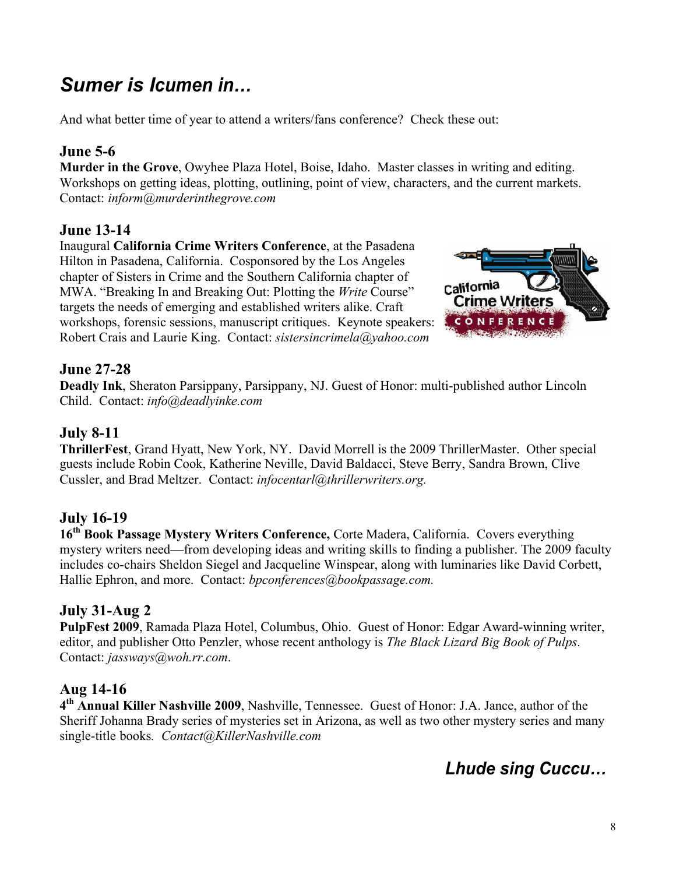# *Sumer is Icumen in...*

And what better time of year to attend a writers/fans conference? Check these out:

#### **June 5-6**

**Murder in the Grove**, Owyhee Plaza Hotel, Boise, Idaho. Master classes in writing and editing. Workshops on getting ideas, plotting, outlining, point of view, characters, and the current markets. Contact: *inform@murderinthegrove.com*

#### **June 13-14**

Inaugural **California Crime Writers Conference**, at the Pasadena Hilton in Pasadena, California. Cosponsored by the Los Angeles chapter of Sisters in Crime and the Southern California chapter of MWA. "Breaking In and Breaking Out: Plotting the *Write* Course" targets the needs of emerging and established writers alike. Craft workshops, forensic sessions, manuscript critiques. Keynote speakers: Robert Crais and Laurie King. Contact: *sistersincrimela@yahoo.com*



#### **June 27-28**

**Deadly Ink**, Sheraton Parsippany, Parsippany, NJ. Guest of Honor: multi-published author Lincoln Child. Contact: *info@deadlyinke.com*

## **July 8-11**

**ThrillerFest**, Grand Hyatt, New York, NY. David Morrell is the 2009 ThrillerMaster. Other special guests include Robin Cook, Katherine Neville, David Baldacci, Steve Berry, Sandra Brown, Clive Cussler, and Brad Meltzer. Contact: *infocentarl@thrillerwriters.org.*

#### **July 16-19**

**16th Book Passage Mystery Writers Conference,** Corte Madera, California. Covers everything mystery writers need—from developing ideas and writing skills to finding a publisher. The 2009 faculty includes co-chairs Sheldon Siegel and Jacqueline Winspear, along with luminaries like David Corbett, Hallie Ephron, and more. Contact: *bpconferences@bookpassage.com.*

#### **July 31-Aug 2**

**PulpFest 2009**, Ramada Plaza Hotel, Columbus, Ohio. Guest of Honor: Edgar Award-winning writer, editor, and publisher Otto Penzler, whose recent anthology is *The Black Lizard Big Book of Pulps*. Contact: *jassways@woh.rr.com*.

#### **Aug 14-16**

**4 th Annual Killer Nashville 2009**, Nashville, Tennessee. Guest of Honor: J.A. Jance, author of the Sheriff Johanna Brady series of mysteries set in Arizona, as well as two other mystery series and many single-title books*. Contact@KillerNashville.com*

Lhude sing Cuccu...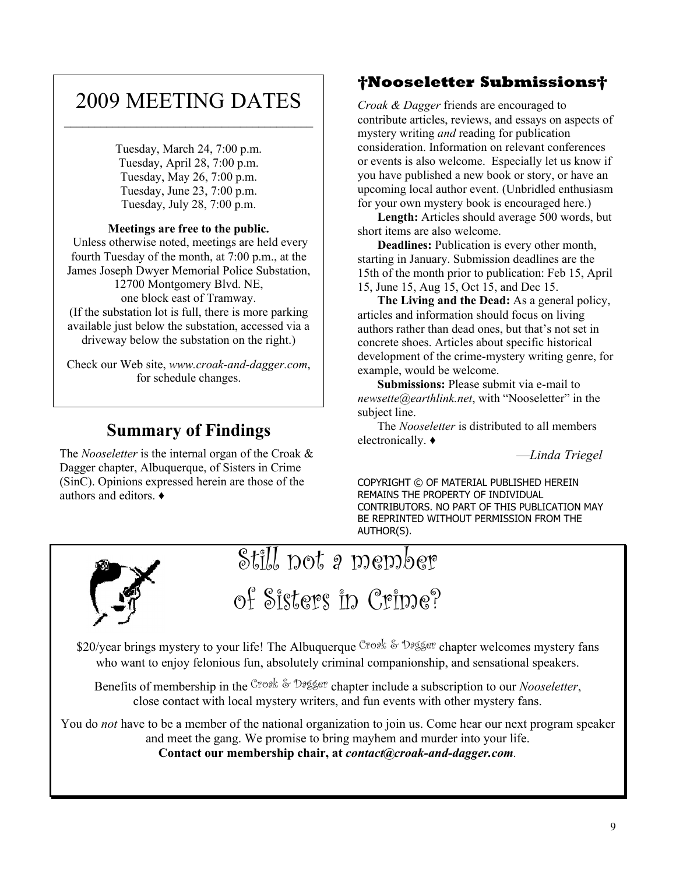# 2009 MEETING DATES  $\mathcal{L}_\text{max}$

Tuesday, March 24, 7:00 p.m. Tuesday, April 28, 7:00 p.m. Tuesday, May 26, 7:00 p.m. Tuesday, June 23, 7:00 p.m. Tuesday, July 28, 7:00 p.m.

#### **Meetings are free to the public.**

 Unless otherwise noted, meetings are held every fourth Tuesday of the month, at 7:00 p.m., at the James Joseph Dwyer Memorial Police Substation, 12700 Montgomery Blvd. NE, one block east of Tramway. (If the substation lot is full, there is more parking available just below the substation, accessed via a

driveway below the substation on the right.) Check our Web site, *www.croak-and-dagger.com*, for schedule changes.

## **Summary of Findings**

The *Nooseletter* is the internal organ of the Croak & Dagger chapter, Albuquerque, of Sisters in Crime (SinC). Opinions expressed herein are those of the authors and editors.  $\triangleleft$ 

## **Nooseletter Submissions**

*Croak & Dagger* friends are encouraged to contribute articles, reviews, and essays on aspects of mystery writing *and* reading for publication consideration. Information on relevant conferences or events is also welcome. Especially let us know if you have published a new book or story, or have an upcoming local author event. (Unbridled enthusiasm for your own mystery book is encouraged here.)

**Length:** Articles should average 500 words, but short items are also welcome.

**Deadlines:** Publication is every other month, starting in January. Submission deadlines are the 15th of the month prior to publication: Feb 15, April 15, June 15, Aug 15, Oct 15, and Dec 15.

**The Living and the Dead:** As a general policy, articles and information should focus on living authors rather than dead ones, but that's not set in concrete shoes. Articles about specific historical development of the crime-mystery writing genre, for example, would be welcome.

**Submissions:** Please submit via e-mail to *newsette@earthlink.net*, with "Nooseletter" in the subject line.

The *Nooseletter* is distributed to all members electronically.  $\bullet$ 

²*Linda Triegel*

COPYRIGHT © OF MATERIAL PUBLISHED HEREIN REMAINS THE PROPERTY OF INDIVIDUAL CONTRIBUTORS. NO PART OF THIS PUBLICATION MAY BE REPRINTED WITHOUT PERMISSION FROM THE AUTHOR(S).



# Still not a member of Sisters in Crime?

\$20/year brings mystery to your life! The Albuquerque Croak & Dagger chapter welcomes mystery fans who want to enjoy felonious fun, absolutely criminal companionship, and sensational speakers.

Benefits of membership in the Croak & Dagger chapter include a subscription to our *Nooseletter*, close contact with local mystery writers, and fun events with other mystery fans.

You do *not* have to be a member of the national organization to join us. Come hear our next program speaker and meet the gang. We promise to bring mayhem and murder into your life.

**Contact our membership chair, at** *contact@croak-and-dagger.com.*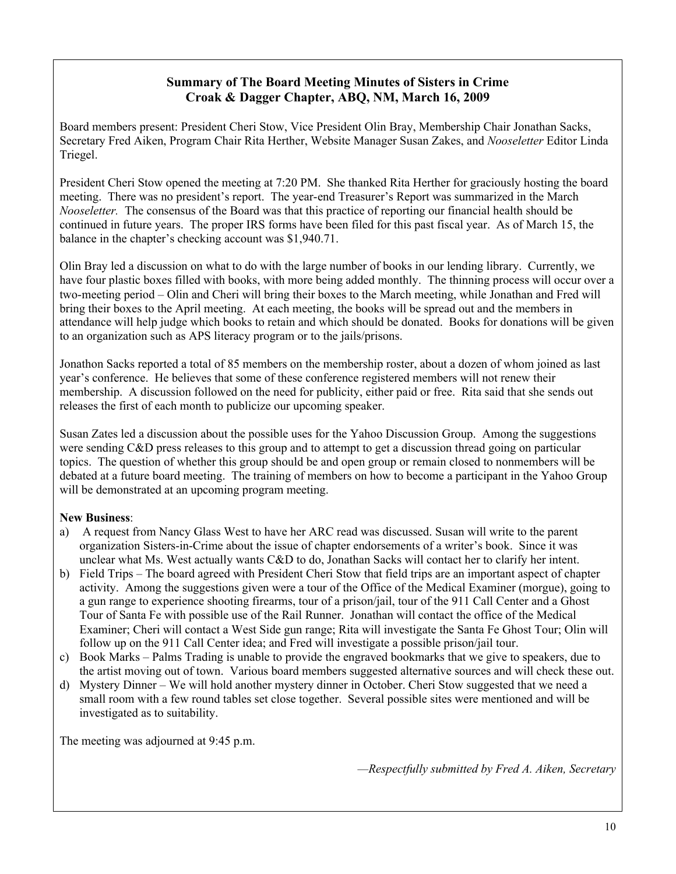#### **Summary of The Board Meeting Minutes of Sisters in Crime Croak & Dagger Chapter, ABQ, NM, March 16, 2009**

Board members present: President Cheri Stow, Vice President Olin Bray, Membership Chair Jonathan Sacks, Secretary Fred Aiken, Program Chair Rita Herther, Website Manager Susan Zakes, and *Nooseletter* Editor Linda Triegel.

President Cheri Stow opened the meeting at 7:20 PM. She thanked Rita Herther for graciously hosting the board meeting. There was no president's report. The year-end Treasurer's Report was summarized in the March *Nooseletter.* The consensus of the Board was that this practice of reporting our financial health should be continued in future years. The proper IRS forms have been filed for this past fiscal year. As of March 15, the balance in the chapter's checking account was \$1,940.71.

Olin Bray led a discussion on what to do with the large number of books in our lending library. Currently, we have four plastic boxes filled with books, with more being added monthly. The thinning process will occur over a two-meeting period – Olin and Cheri will bring their boxes to the March meeting, while Jonathan and Fred will bring their boxes to the April meeting. At each meeting, the books will be spread out and the members in attendance will help judge which books to retain and which should be donated. Books for donations will be given to an organization such as APS literacy program or to the jails/prisons.

Jonathon Sacks reported a total of 85 members on the membership roster, about a dozen of whom joined as last year's conference. He believes that some of these conference registered members will not renew their membership. A discussion followed on the need for publicity, either paid or free. Rita said that she sends out releases the first of each month to publicize our upcoming speaker.

Susan Zates led a discussion about the possible uses for the Yahoo Discussion Group. Among the suggestions were sending C&D press releases to this group and to attempt to get a discussion thread going on particular topics. The question of whether this group should be and open group or remain closed to nonmembers will be debated at a future board meeting. The training of members on how to become a participant in the Yahoo Group will be demonstrated at an upcoming program meeting.

#### **New Business**:

- a) A request from Nancy Glass West to have her ARC read was discussed. Susan will write to the parent organization Sisters-in-Crime about the issue of chapter endorsements of a writer's book. Since it was unclear what Ms. West actually wants C&D to do, Jonathan Sacks will contact her to clarify her intent.
- b) Field Trips The board agreed with President Cheri Stow that field trips are an important aspect of chapter activity. Among the suggestions given were a tour of the Office of the Medical Examiner (morgue), going to a gun range to experience shooting firearms, tour of a prison/jail, tour of the 911 Call Center and a Ghost Tour of Santa Fe with possible use of the Rail Runner. Jonathan will contact the office of the Medical Examiner; Cheri will contact a West Side gun range; Rita will investigate the Santa Fe Ghost Tour; Olin will follow up on the 911 Call Center idea; and Fred will investigate a possible prison/jail tour.
- c) Book Marks Palms Trading is unable to provide the engraved bookmarks that we give to speakers, due to the artist moving out of town. Various board members suggested alternative sources and will check these out.
- d) Mystery Dinner We will hold another mystery dinner in October. Cheri Stow suggested that we need a small room with a few round tables set close together. Several possible sites were mentioned and will be investigated as to suitability.

The meeting was adjourned at 9:45 p.m.

*²Respectfully submitted by Fred A. Aiken, Secretary*